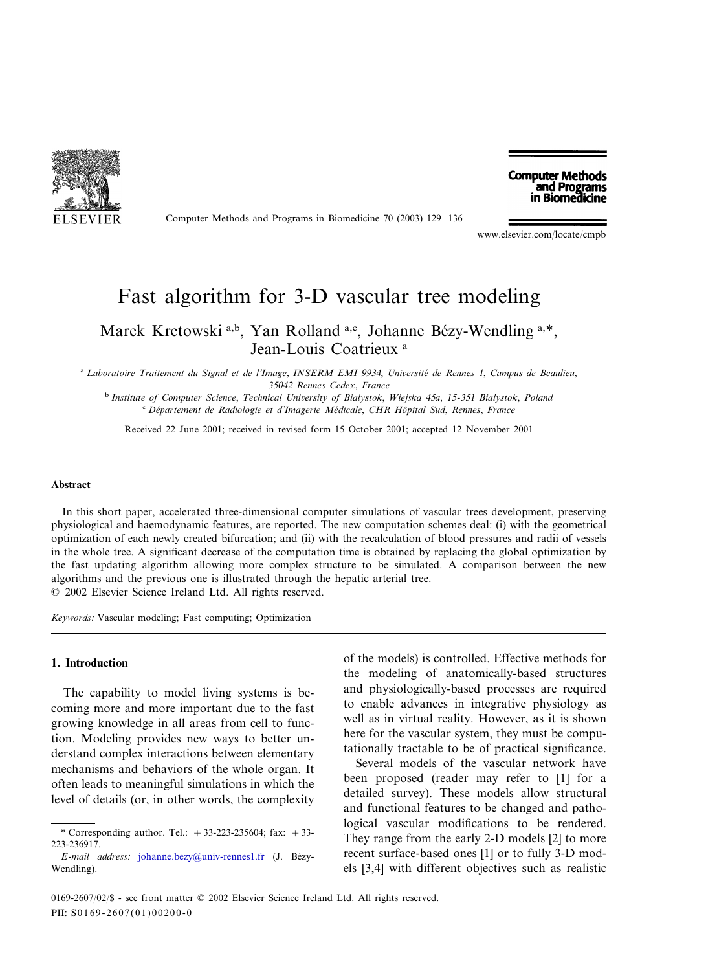

Computer Methods and Programs in Biomedicine 70 (2003) 129–136

**Computer Methods** and Programs in Biomedicine

www.elsevier.com/locate/cmpb

# Fast algorithm for 3-D vascular tree modeling

Marek Kretowski a,b, Yan Rolland a,c, Johanne Bézy-Wendling a,\*, Jean-Louis Coatrieux<sup>a</sup>

<sup>a</sup> *Laboratoire Traitement du Signal et de l*'*Image*, *INSERM EMI* <sup>9934</sup>, *Uniersite´ de Rennes* <sup>1</sup>, *Campus de Beaulieu*, 35042 *Rennes Cedex*, *France*

<sup>b</sup> *Institute of Computer Science*, *Technical Uniersity of Bialystok*, *Wiejska* <sup>45</sup>*a*, <sup>15</sup>-<sup>351</sup> *Bialystok*, *Poland* <sup>c</sup> *De´partement de Radiologie et d*'*Imagerie Me´dicale*, *CHR Hoˆpital Sud*, *Rennes*, *France*

Received 22 June 2001; received in revised form 15 October 2001; accepted 12 November 2001

#### **Abstract**

In this short paper, accelerated three-dimensional computer simulations of vascular trees development, preserving physiological and haemodynamic features, are reported. The new computation schemes deal: (i) with the geometrical optimization of each newly created bifurcation; and (ii) with the recalculation of blood pressures and radii of vessels in the whole tree. A significant decrease of the computation time is obtained by replacing the global optimization by the fast updating algorithm allowing more complex structure to be simulated. A comparison between the new algorithms and the previous one is illustrated through the hepatic arterial tree. © 2002 Elsevier Science Ireland Ltd. All rights reserved.

*Keywords*: Vascular modeling; Fast computing; Optimization

## **1. Introduction**

The capability to model living systems is becoming more and more important due to the fast growing knowledge in all areas from cell to function. Modeling provides new ways to better understand complex interactions between elementary mechanisms and behaviors of the whole organ. It often leads to meaningful simulations in which the level of details (or, in other words, the complexity

of the models) is controlled. Effective methods for the modeling of anatomically-based structures and physiologically-based processes are required to enable advances in integrative physiology as well as in virtual reality. However, as it is shown here for the vascular system, they must be computationally tractable to be of practical significance.

Several models of the vascular network have been proposed (reader may refer to [1] for a detailed survey). These models allow structural and functional features to be changed and pathological vascular modifications to be rendered. They range from the early 2-D models [2] to more recent surface-based ones [1] or to fully 3-D models [3,4] with different objectives such as realistic

<sup>\*</sup> Corresponding author. Tel.:  $+33-223-235604$ ; fax:  $+33-$ 223-236917.

*E*-*mail address*: [johanne.bezy@univ-rennes1.fr](mailto:johanne.bezy@univ-rennes1.fr) (J. Be´zy-Wendling).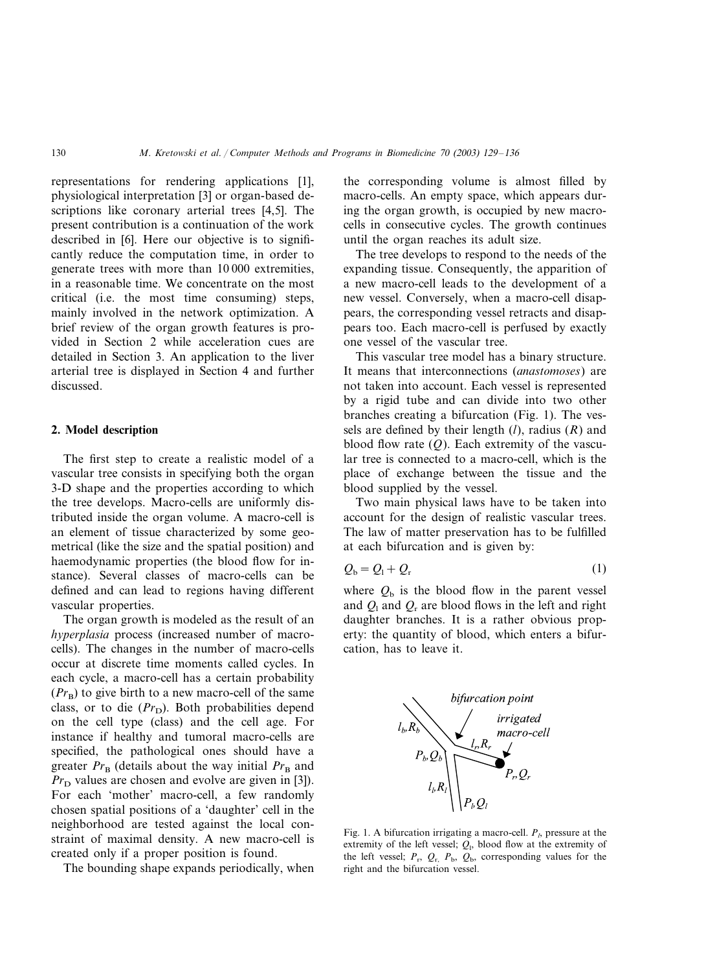representations for rendering applications [1], physiological interpretation [3] or organ-based descriptions like coronary arterial trees [4,5]. The present contribution is a continuation of the work described in [6]. Here our objective is to significantly reduce the computation time, in order to generate trees with more than 10 000 extremities, in a reasonable time. We concentrate on the most critical (i.e. the most time consuming) steps, mainly involved in the network optimization. A brief review of the organ growth features is provided in Section 2 while acceleration cues are detailed in Section 3. An application to the liver arterial tree is displayed in Section 4 and further discussed.

## **2. Model description**

The first step to create a realistic model of a vascular tree consists in specifying both the organ 3-D shape and the properties according to which the tree develops. Macro-cells are uniformly distributed inside the organ volume. A macro-cell is an element of tissue characterized by some geometrical (like the size and the spatial position) and haemodynamic properties (the blood flow for instance). Several classes of macro-cells can be defined and can lead to regions having different vascular properties.

The organ growth is modeled as the result of an *hyperplasia* process (increased number of macrocells). The changes in the number of macro-cells occur at discrete time moments called cycles. In each cycle, a macro-cell has a certain probability  $(Pr_{\rm B})$  to give birth to a new macro-cell of the same class, or to die (Pr<sub>D</sub>). Both probabilities depend on the cell type (class) and the cell age. For instance if healthy and tumoral macro-cells are specified, the pathological ones should have a greater  $Pr_{\text{B}}$  (details about the way initial  $Pr_{\text{B}}$  and  $Pr<sub>D</sub>$  values are chosen and evolve are given in [3]). For each 'mother' macro-cell, a few randomly chosen spatial positions of a 'daughter' cell in the neighborhood are tested against the local constraint of maximal density. A new macro-cell is created only if a proper position is found.

The bounding shape expands periodically, when

the corresponding volume is almost filled by macro-cells. An empty space, which appears during the organ growth, is occupied by new macrocells in consecutive cycles. The growth continues until the organ reaches its adult size.

The tree develops to respond to the needs of the expanding tissue. Consequently, the apparition of a new macro-cell leads to the development of a new vessel. Conversely, when a macro-cell disappears, the corresponding vessel retracts and disappears too. Each macro-cell is perfused by exactly one vessel of the vascular tree.

This vascular tree model has a binary structure. It means that interconnections (*anastomoses*) are not taken into account. Each vessel is represented by a rigid tube and can divide into two other branches creating a bifurcation (Fig. 1). The vessels are defined by their length (*l*), radius (*R*) and blood flow rate (*Q*). Each extremity of the vascular tree is connected to a macro-cell, which is the place of exchange between the tissue and the blood supplied by the vessel.

Two main physical laws have to be taken into account for the design of realistic vascular trees. The law of matter preservation has to be fulfilled at each bifurcation and is given by:

$$
Q_{\rm b} = Q_{\rm l} + Q_{\rm r} \tag{1}
$$

where  $Q<sub>b</sub>$  is the blood flow in the parent vessel and  $Q_{\rm I}$  and  $Q_{\rm r}$  are blood flows in the left and right daughter branches. It is a rather obvious property: the quantity of blood, which enters a bifurcation, has to leave it.



Fig. 1. A bifurcation irrigating a macro-cell.  $P<sub>l</sub>$ , pressure at the extremity of the left vessel;  $Q_i$ , blood flow at the extremity of the left vessel;  $P_r$ ,  $Q_r$ ,  $P_b$ ,  $Q_b$ , corresponding values for the right and the bifurcation vessel.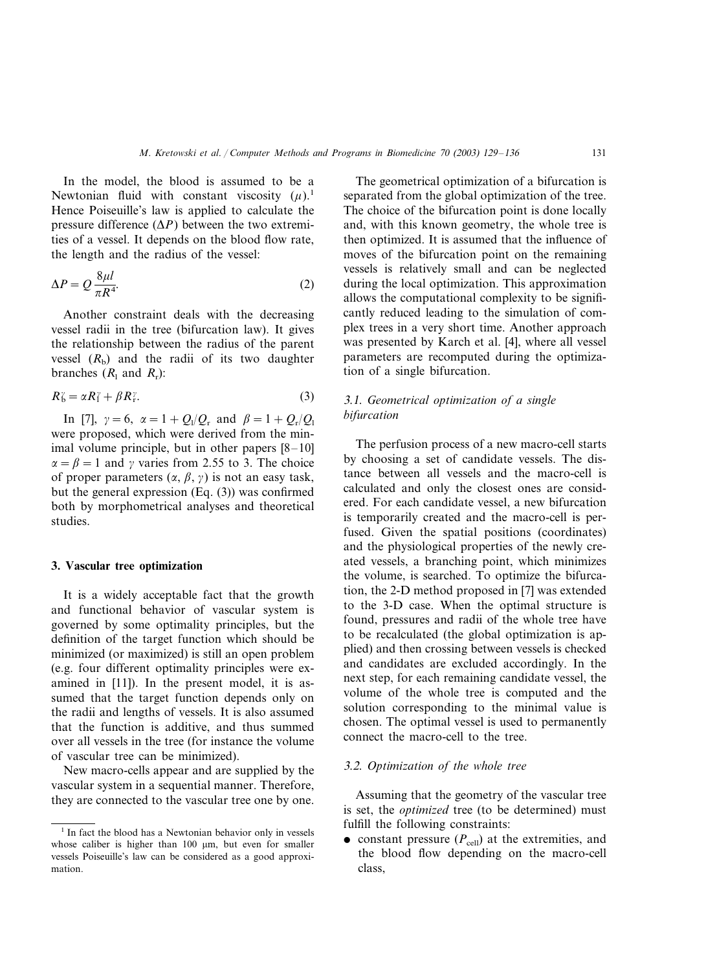In the model, the blood is assumed to be a Newtonian fluid with constant viscosity  $(\mu)$ . Hence Poiseuille's law is applied to calculate the pressure difference  $(\Delta P)$  between the two extremities of a vessel. It depends on the blood flow rate, the length and the radius of the vessel:

$$
\Delta P = Q \frac{8\mu l}{\pi R^4}.
$$
 (2)

Another constraint deals with the decreasing vessel radii in the tree (bifurcation law). It gives the relationship between the radius of the parent vessel  $(R<sub>b</sub>)$  and the radii of its two daughter branches  $(R_1 \text{ and } R_r)$ :

$$
R_b^{\gamma} = \alpha R_1^{\gamma} + \beta R_{\gamma}^{\gamma}.
$$
 (3)

In [7],  $\gamma = 6$ ,  $\alpha = 1 + Q_1/Q_r$  and  $\beta = 1 + Q_r/Q_1$ were proposed, which were derived from the minimal volume principle, but in other papers [8–10]  $\alpha = \beta = 1$  and  $\gamma$  varies from 2.55 to 3. The choice of proper parameters  $(\alpha, \beta, \gamma)$  is not an easy task, but the general expression (Eq. (3)) was confirmed both by morphometrical analyses and theoretical studies.

#### **3. Vascular tree optimization**

It is a widely acceptable fact that the growth and functional behavior of vascular system is governed by some optimality principles, but the definition of the target function which should be minimized (or maximized) is still an open problem (e.g. four different optimality principles were examined in [11]). In the present model, it is assumed that the target function depends only on the radii and lengths of vessels. It is also assumed that the function is additive, and thus summed over all vessels in the tree (for instance the volume of vascular tree can be minimized).

New macro-cells appear and are supplied by the vascular system in a sequential manner. Therefore, they are connected to the vascular tree one by one.

The geometrical optimization of a bifurcation is separated from the global optimization of the tree. The choice of the bifurcation point is done locally and, with this known geometry, the whole tree is then optimized. It is assumed that the influence of moves of the bifurcation point on the remaining vessels is relatively small and can be neglected during the local optimization. This approximation allows the computational complexity to be significantly reduced leading to the simulation of complex trees in a very short time. Another approach was presented by Karch et al. [4], where all vessel parameters are recomputed during the optimization of a single bifurcation.

# 3.1. *Geometrical optimization of a single bifurcation*

The perfusion process of a new macro-cell starts by choosing a set of candidate vessels. The distance between all vessels and the macro-cell is calculated and only the closest ones are considered. For each candidate vessel, a new bifurcation is temporarily created and the macro-cell is perfused. Given the spatial positions (coordinates) and the physiological properties of the newly created vessels, a branching point, which minimizes the volume, is searched. To optimize the bifurcation, the 2-D method proposed in [7] was extended to the 3-D case. When the optimal structure is found, pressures and radii of the whole tree have to be recalculated (the global optimization is applied) and then crossing between vessels is checked and candidates are excluded accordingly. In the next step, for each remaining candidate vessel, the volume of the whole tree is computed and the solution corresponding to the minimal value is chosen. The optimal vessel is used to permanently connect the macro-cell to the tree.

## 3.2. *Optimization of the whole tree*

Assuming that the geometry of the vascular tree is set, the *optimized* tree (to be determined) must fulfill the following constraints:

• constant pressure  $(P_{cell})$  at the extremities, and the blood flow depending on the macro-cell class,

<sup>&</sup>lt;sup>1</sup> In fact the blood has a Newtonian behavior only in vessels whose caliber is higher than  $100 \mu m$ , but even for smaller vessels Poiseuille's law can be considered as a good approximation.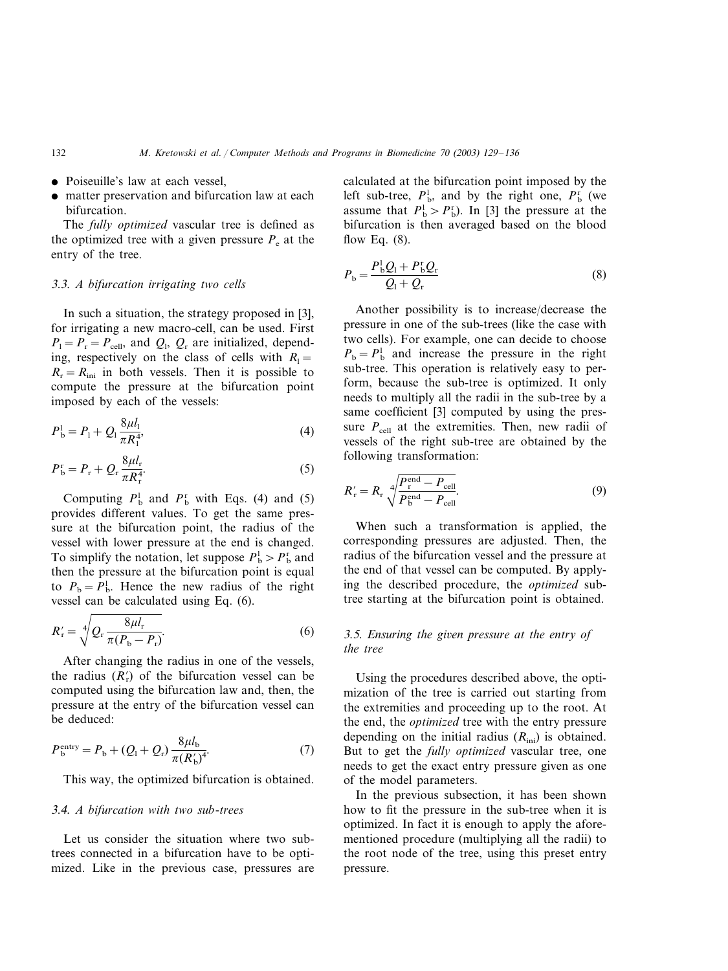- Poiseuille's law at each vessel,
- matter preservation and bifurcation law at each bifurcation.

The *fully optimized* vascular tree is defined as the optimized tree with a given pressure  $P_e$  at the entry of the tree.

## 3.3. *A bifurcation irrigating two cells*

In such a situation, the strategy proposed in [3], for irrigating a new macro-cell, can be used. First  $P_1 = P_r = P_{cell}$ , and  $Q_1$ ,  $Q_r$  are initialized, depending, respectively on the class of cells with  $R_1=$  $R_r = R_{\text{ini}}$  in both vessels. Then it is possible to compute the pressure at the bifurcation point imposed by each of the vessels:

$$
P_{\rm b}^{\rm l} = P_{\rm l} + Q_{\rm l} \frac{8\mu l_{\rm l}}{\pi R_{\rm l}^{4}},\tag{4}
$$

$$
P_{\mathbf{b}}^{\mathbf{r}} = P_{\mathbf{r}} + Q_{\mathbf{r}} \frac{8\mu l_{\mathbf{r}}}{\pi R_{\mathbf{r}}^4}.
$$

Computing  $P_b^1$  and  $P_b^r$  with Eqs. (4) and (5) provides different values. To get the same pressure at the bifurcation point, the radius of the vessel with lower pressure at the end is changed. To simplify the notation, let suppose  $P_b^1 > P_b^r$  and then the pressure at the bifurcation point is equal to  $P_{\rm b} = P_{\rm b}^{\rm l}$ . Hence the new radius of the right vessel can be calculated using Eq. (6).

$$
R'_{\rm r} = \sqrt[4]{Q_{\rm r} \frac{8\mu l_{\rm r}}{\pi (P_{\rm b} - P_{\rm r})}}.
$$
 (6)

After changing the radius in one of the vessels, the radius  $(R'_r)$  of the bifurcation vessel can be computed using the bifurcation law and, then, the pressure at the entry of the bifurcation vessel can be deduced:

$$
P_b^{\text{entry}} = P_b + (Q_1 + Q_r) \frac{8\mu l_b}{\pi (R_b')^4}.
$$
 (7)

This way, the optimized bifurcation is obtained.

#### 3.4. *A bifurcation with two sub*-*trees*

Let us consider the situation where two subtrees connected in a bifurcation have to be optimized. Like in the previous case, pressures are calculated at the bifurcation point imposed by the left sub-tree,  $P_{\text{b}}^1$ , and by the right one,  $P_{\text{b}}^{\text{r}}$  (we assume that  $P_{\rm b}^{\rm I} > P_{\rm b}^{\rm r}$ ). In [3] the pressure at the bifurcation is then averaged based on the blood flow Eq. (8).

$$
P_{\rm b} = \frac{P_{\rm b}^{\rm l} Q_{\rm l} + P_{\rm b}^{\rm r} Q_{\rm r}}{Q_{\rm l} + Q_{\rm r}}\tag{8}
$$

Another possibility is to increase/decrease the pressure in one of the sub-trees (like the case with two cells). For example, one can decide to choose  $P_{\rm b} = P_{\rm b}^{\rm l}$  and increase the pressure in the right sub-tree. This operation is relatively easy to perform, because the sub-tree is optimized. It only needs to multiply all the radii in the sub-tree by a same coefficient [3] computed by using the pressure  $P_{cell}$  at the extremities. Then, new radii of vessels of the right sub-tree are obtained by the following transformation:

$$
R'_{\rm r} = R_{\rm r} \sqrt[4]{\frac{P_{\rm r}^{\rm end} - P_{\rm cell}}{P_{\rm b}^{\rm end} - P_{\rm cell}}}.
$$
\n(9)

When such a transformation is applied, the corresponding pressures are adjusted. Then, the radius of the bifurcation vessel and the pressure at the end of that vessel can be computed. By applying the described procedure, the *optimized* subtree starting at the bifurcation point is obtained.

# <sup>3</sup>.5. *Ensuring the gien pressure at the entry of the tree*

Using the procedures described above, the optimization of the tree is carried out starting from the extremities and proceeding up to the root. At the end, the *optimized* tree with the entry pressure depending on the initial radius  $(R<sub>ini</sub>)$  is obtained. But to get the *fully optimized* vascular tree, one needs to get the exact entry pressure given as one of the model parameters.

In the previous subsection, it has been shown how to fit the pressure in the sub-tree when it is optimized. In fact it is enough to apply the aforementioned procedure (multiplying all the radii) to the root node of the tree, using this preset entry pressure.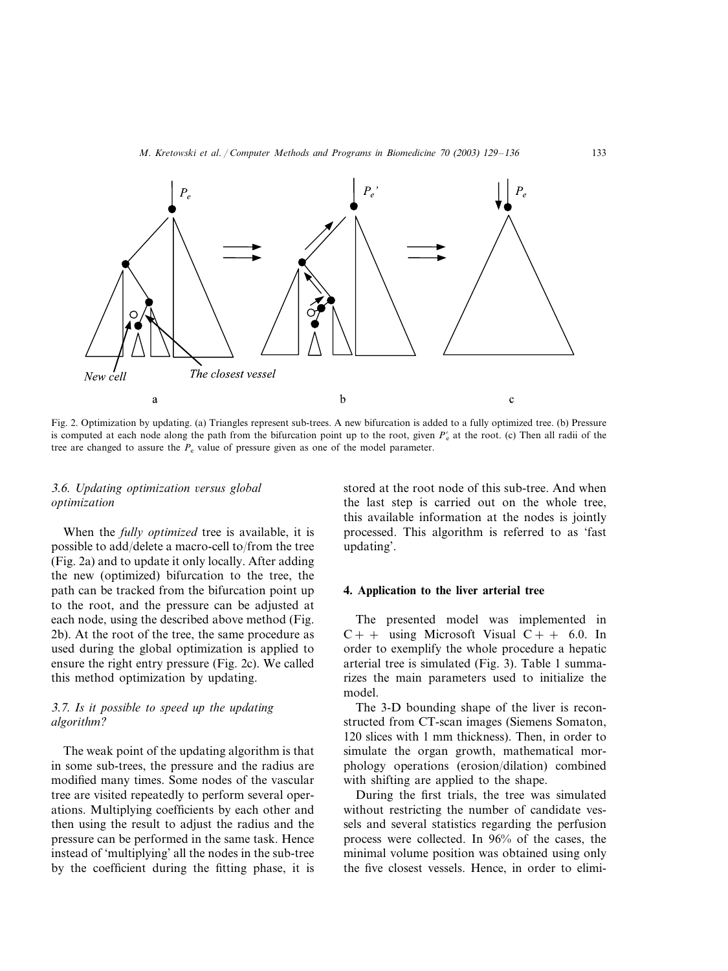

Fig. 2. Optimization by updating. (a) Triangles represent sub-trees. A new bifurcation is added to a fully optimized tree. (b) Pressure is computed at each node along the path from the bifurcation point up to the root, given  $P'_{\rm c}$  at the root. (c) Then all radii of the tree are changed to assure the  $P_e$  value of pressure given as one of the model parameter.

# <sup>3</sup>.6. *Updating optimization ersus global optimization*

When the *fully optimized* tree is available, it is possible to add/delete a macro-cell to/from the tree (Fig. 2a) and to update it only locally. After adding the new (optimized) bifurcation to the tree, the path can be tracked from the bifurcation point up to the root, and the pressure can be adjusted at each node, using the described above method (Fig. 2b). At the root of the tree, the same procedure as used during the global optimization is applied to ensure the right entry pressure (Fig. 2c). We called this method optimization by updating.

# 3.7. *Is it possible to speed up the updating algorithm*?

The weak point of the updating algorithm is that in some sub-trees, the pressure and the radius are modified many times. Some nodes of the vascular tree are visited repeatedly to perform several operations. Multiplying coefficients by each other and then using the result to adjust the radius and the pressure can be performed in the same task. Hence instead of 'multiplying' all the nodes in the sub-tree by the coefficient during the fitting phase, it is stored at the root node of this sub-tree. And when the last step is carried out on the whole tree, this available information at the nodes is jointly processed. This algorithm is referred to as 'fast updating'.

#### **4. Application to the liver arterial tree**

The presented model was implemented in  $C++$  using Microsoft Visual  $C++6.0$ . In order to exemplify the whole procedure a hepatic arterial tree is simulated (Fig. 3). Table 1 summarizes the main parameters used to initialize the model.

The 3-D bounding shape of the liver is reconstructed from CT-scan images (Siemens Somaton, 120 slices with 1 mm thickness). Then, in order to simulate the organ growth, mathematical morphology operations (erosion/dilation) combined with shifting are applied to the shape.

During the first trials, the tree was simulated without restricting the number of candidate vessels and several statistics regarding the perfusion process were collected. In 96% of the cases, the minimal volume position was obtained using only the five closest vessels. Hence, in order to elimi-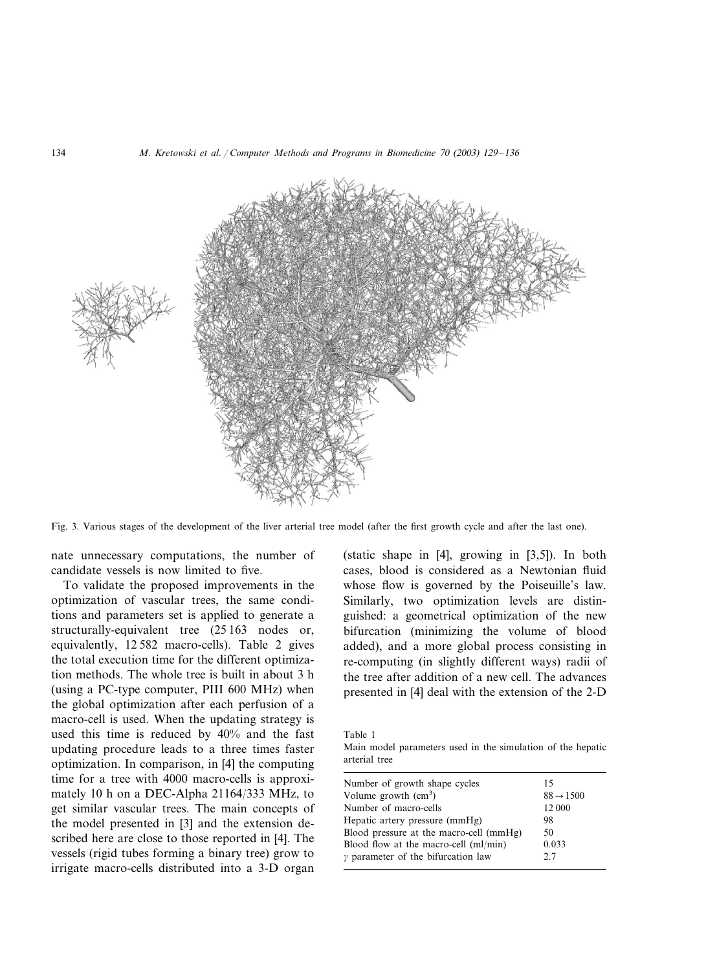

Fig. 3. Various stages of the development of the liver arterial tree model (after the first growth cycle and after the last one).

nate unnecessary computations, the number of candidate vessels is now limited to five.

To validate the proposed improvements in the optimization of vascular trees, the same conditions and parameters set is applied to generate a structurally-equivalent tree (25 163 nodes or, equivalently, 12 582 macro-cells). Table 2 gives the total execution time for the different optimization methods. The whole tree is built in about 3 h (using a PC-type computer, PIII 600 MHz) when the global optimization after each perfusion of a macro-cell is used. When the updating strategy is used this time is reduced by 40% and the fast updating procedure leads to a three times faster optimization. In comparison, in [4] the computing time for a tree with 4000 macro-cells is approximately 10 h on a DEC-Alpha 21164/333 MHz, to get similar vascular trees. The main concepts of the model presented in [3] and the extension described here are close to those reported in [4]. The vessels (rigid tubes forming a binary tree) grow to irrigate macro-cells distributed into a 3-D organ

(static shape in [4], growing in [3,5]). In both cases, blood is considered as a Newtonian fluid whose flow is governed by the Poiseuille's law. Similarly, two optimization levels are distinguished: a geometrical optimization of the new bifurcation (minimizing the volume of blood added), and a more global process consisting in re-computing (in slightly different ways) radii of the tree after addition of a new cell. The advances presented in [4] deal with the extension of the 2-D

Table 1

Main model parameters used in the simulation of the hepatic arterial tree

| Number of growth shape cycles             | 15                    |
|-------------------------------------------|-----------------------|
| Volume growth $(cm3)$                     | $88 \rightarrow 1500$ |
| Number of macro-cells                     | 12 000                |
| Hepatic artery pressure (mmHg)            | 98                    |
| Blood pressure at the macro-cell (mmHg)   | 50                    |
| Blood flow at the macro-cell (ml/min)     | 0.033                 |
| $\gamma$ parameter of the bifurcation law | 2.7                   |
|                                           |                       |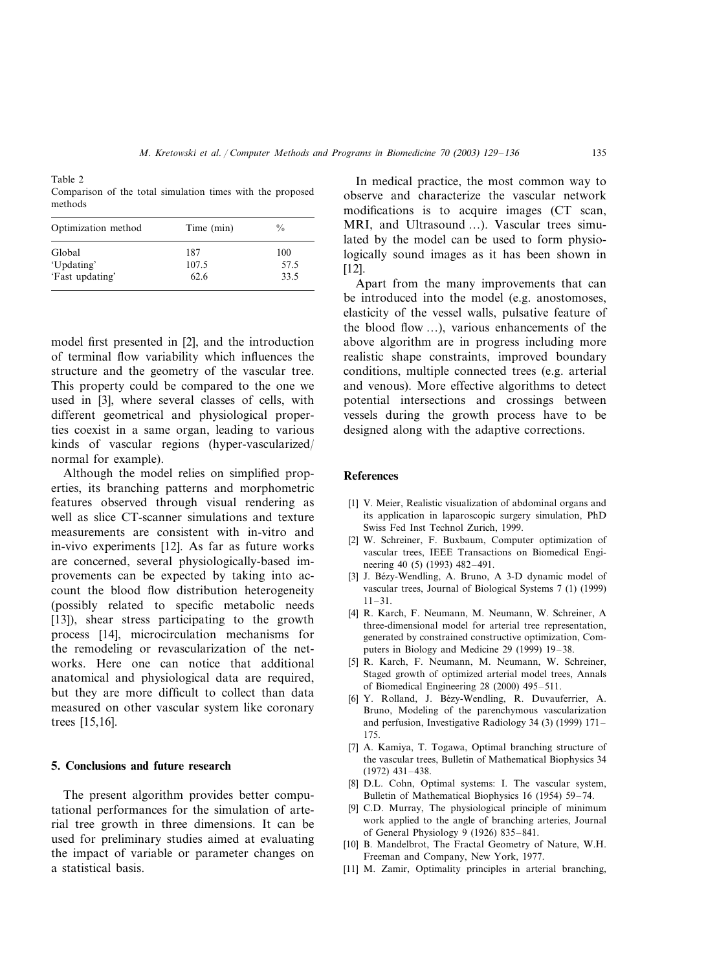Table 2 Comparison of the total simulation times with the proposed methods

| Optimization method | Time (min) | $\frac{0}{0}$ |
|---------------------|------------|---------------|
| Global              | 187        | 100           |
| 'Updating'          | 107.5      | 57.5          |
| 'Fast updating'     | 62.6       | 33.5          |

model first presented in [2], and the introduction of terminal flow variability which influences the structure and the geometry of the vascular tree. This property could be compared to the one we used in [3], where several classes of cells, with different geometrical and physiological properties coexist in a same organ, leading to various kinds of vascular regions (hyper-vascularized/ normal for example).

Although the model relies on simplified properties, its branching patterns and morphometric features observed through visual rendering as well as slice CT-scanner simulations and texture measurements are consistent with in-vitro and in-vivo experiments [12]. As far as future works are concerned, several physiologically-based improvements can be expected by taking into account the blood flow distribution heterogeneity (possibly related to specific metabolic needs [13]), shear stress participating to the growth process [14], microcirculation mechanisms for the remodeling or revascularization of the networks. Here one can notice that additional anatomical and physiological data are required, but they are more difficult to collect than data measured on other vascular system like coronary trees [15,16].

#### **5. Conclusions and future research**

The present algorithm provides better computational performances for the simulation of arterial tree growth in three dimensions. It can be used for preliminary studies aimed at evaluating the impact of variable or parameter changes on a statistical basis.

In medical practice, the most common way to observe and characterize the vascular network modifications is to acquire images (CT scan, MRI, and Ultrasound …). Vascular trees simulated by the model can be used to form physiologically sound images as it has been shown in [12].

Apart from the many improvements that can be introduced into the model (e.g. anostomoses, elasticity of the vessel walls, pulsative feature of the blood flow …), various enhancements of the above algorithm are in progress including more realistic shape constraints, improved boundary conditions, multiple connected trees (e.g. arterial and venous). More effective algorithms to detect potential intersections and crossings between vessels during the growth process have to be designed along with the adaptive corrections.

#### **References**

- [1] V. Meier, Realistic visualization of abdominal organs and its application in laparoscopic surgery simulation, PhD Swiss Fed Inst Technol Zurich, 1999.
- [2] W. Schreiner, F. Buxbaum, Computer optimization of vascular trees, IEEE Transactions on Biomedical Engineering 40 (5) (1993) 482–491.
- [3] J. Bézy-Wendling, A. Bruno, A 3-D dynamic model of vascular trees, Journal of Biological Systems 7 (1) (1999) 11–31.
- [4] R. Karch, F. Neumann, M. Neumann, W. Schreiner, A three-dimensional model for arterial tree representation, generated by constrained constructive optimization, Computers in Biology and Medicine 29 (1999) 19–38.
- [5] R. Karch, F. Neumann, M. Neumann, W. Schreiner, Staged growth of optimized arterial model trees, Annals of Biomedical Engineering 28 (2000) 495–511.
- [6] Y. Rolland, J. Bézy-Wendling, R. Duvauferrier, A. Bruno, Modeling of the parenchymous vascularization and perfusion, Investigative Radiology 34 (3) (1999) 171– 175.
- [7] A. Kamiya, T. Togawa, Optimal branching structure of the vascular trees, Bulletin of Mathematical Biophysics 34 (1972) 431–438.
- [8] D.L. Cohn, Optimal systems: I. The vascular system, Bulletin of Mathematical Biophysics 16 (1954) 59–74.
- [9] C.D. Murray, The physiological principle of minimum work applied to the angle of branching arteries, Journal of General Physiology 9 (1926) 835–841.
- [10] B. Mandelbrot, The Fractal Geometry of Nature, W.H. Freeman and Company, New York, 1977.
- [11] M. Zamir, Optimality principles in arterial branching,